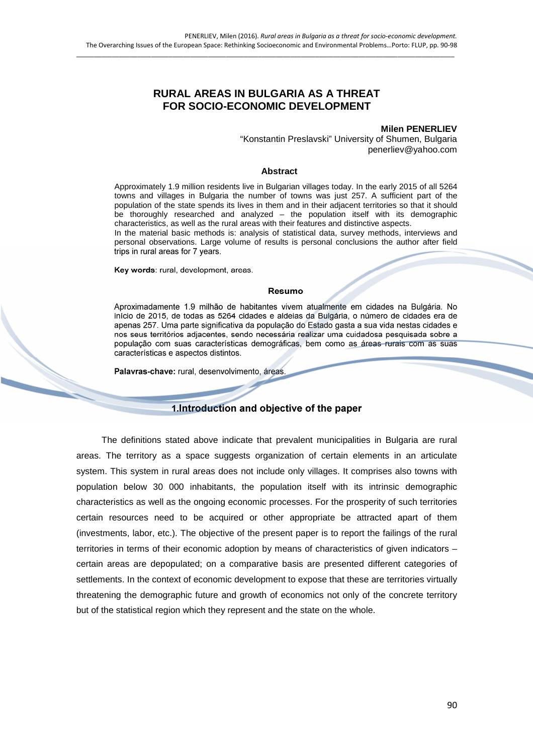# **RURAL AREAS IN BULGARIA AS A THREAT FOR SOCIO-ECONOMIC DEVELOPMENT**

#### **Milen PENERLIEV**

"Konstantin Preslavski" University of Shumen, Bulgaria penerliev@yahoo.com

#### **Abstract**

Approximately 1.9 million residents live in Bulgarian villages today. In the early 2015 of all 5264 towns and villages in Bulgaria the number of towns was just 257. A sufficient part of the population of the state spends its lives in them and in their adjacent territories so that it should be thoroughly researched and analyzed – the population itself with its demographic characteristics, as well as the rural areas with their features and distinctive aspects.

In the material basic methods is: analysis of statistical data, survey methods, interviews and personal observations. Large volume of results is personal conclusions the author after field trips in rural areas for 7 years.

**Key words**: rural, development, areas.

#### **Resumo**

Aproximadamente 1.9 milhão de habitantes vivem atualmente em cidades na Bulgária. No início de 2015, de todas as 5264 cidades e aldeias da Bulgária, o número de cidades era de apenas 257. Uma parte significativa da população do Estado gasta a sua vida nestas cidades e nos seus territórios adjacentes, sendo necessária realizar uma cuidadosa pesquisada sobre a população com suas características demográficas, bem como as áreas rurais com as suas características e aspectos distintos.

**Palavras-chave:** rural, desenvolvimento, áreas.

### **1.Introduction and objective of the paper**

The definitions stated above indicate that prevalent municipalities in Bulgaria are rural areas. The territory as a space suggests organization of certain elements in an articulate system. This system in rural areas does not include only villages. It comprises also towns with population below 30 000 inhabitants, the population itself with its intrinsic demographic characteristics as well as the ongoing economic processes. For the prosperity of such territories certain resources need to be acquired or other appropriate be attracted apart of them (investments, labor, etc.). The objective of the present paper is to report the failings of the rural territories in terms of their economic adoption by means of characteristics of given indicators – certain areas are depopulated; on a comparative basis are presented different categories of settlements. In the context of economic development to expose that these are territories virtually threatening the demographic future and growth of economics not only of the concrete territory but of the statistical region which they represent and the state on the whole.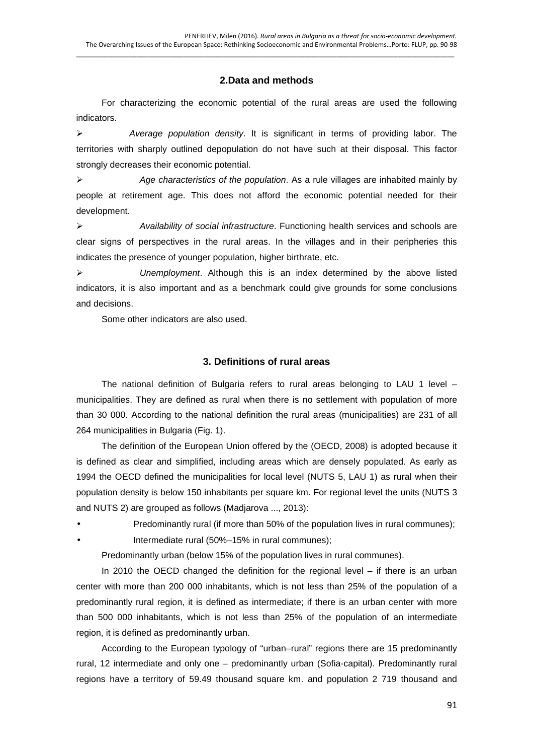## **2.Data and methods**

For characterizing the economic potential of the rural areas are used the following indicators.

 $\triangleright$  Average population density. It is significant in terms of providing labor. The territories with sharply outlined depopulation do not have such at their disposal. This factor strongly decreases their economic potential.

 $\triangleright$  Age characteristics of the population. As a rule villages are inhabited mainly by people at retirement age. This does not afford the economic potential needed for their development.

 Availability of social infrastructure. Functioning health services and schools are clear signs of perspectives in the rural areas. In the villages and in their peripheries this indicates the presence of younger population, higher birthrate, etc.

 $\triangleright$  Unemployment. Although this is an index determined by the above listed indicators, it is also important and as a benchmark could give grounds for some conclusions and decisions.

Some other indicators are also used.

## **3. Definitions of rural areas**

The national definition of Bulgaria refers to rural areas belonging to LAU 1 level – municipalities. They are defined as rural when there is no settlement with population of more than 30 000. According to the national definition the rural areas (municipalities) are 231 of all 264 municipalities in Bulgaria (Fig. 1).

The definition of the European Union offered by the (OECD, 2008) is adopted because it is defined as clear and simplified, including areas which are densely populated. As early as 1994 the OECD defined the municipalities for local level (NUTS 5, LAU 1) as rural when their population density is below 150 inhabitants per square km. For regional level the units (NUTS 3 and NUTS 2) are grouped as follows (Madjarova ..., 2013):

Predominantly rural (if more than 50% of the population lives in rural communes);

Intermediate rural (50%-15% in rural communes);

Predominantly urban (below 15% of the population lives in rural communes).

In 2010 the OECD changed the definition for the regional level  $-$  if there is an urban center with more than 200 000 inhabitants, which is not less than 25% of the population of a predominantly rural region, it is defined as intermediate; if there is an urban center with more than 500 000 inhabitants, which is not less than 25% of the population of an intermediate region, it is defined as predominantly urban.

According to the European typology of "urban–rural" regions there are 15 predominantly rural, 12 intermediate and only one – predominantly urban (Sofia-capital). Predominantly rural regions have a territory of 59.49 thousand square km. and population 2 719 thousand and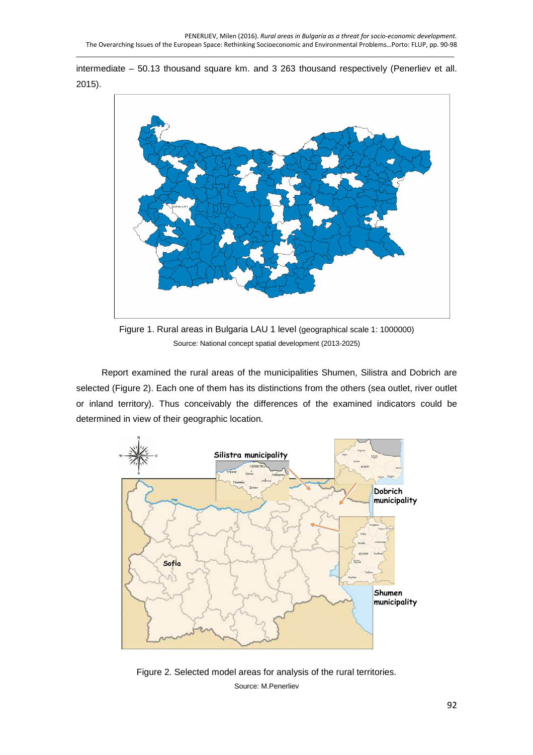intermediate – 50.13 thousand square km. and 3 263 thousand respectively (Penerliev et all. 2015).



Figure 1. Rural areas in Bulgaria LAU 1 level (geographical scale 1: 1000000) Source: National concept spatial development (2013-2025)

Report examined the rural areas of the municipalities Shumen, Silistra and Dobrich are selected (Figure 2). Each one of them has its distinctions from the others (sea outlet, river outlet or inland territory). Thus conceivably the differences of the examined indicators could be determined in view of their geographic location.



Figure 2. Selected model areas for analysis of the rural territories. Source: M.Penerliev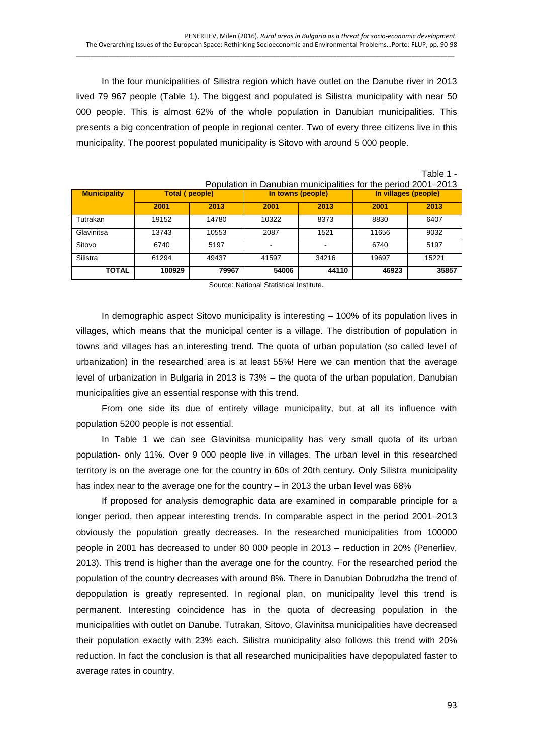In the four municipalities of Silistra region which have outlet on the Danube river in 2013 lived 79 967 people (Table 1). The biggest and populated is Silistra municipality with near 50 000 people. This is almost 62% of the whole population in Danubian municipalities. This presents a big concentration of people in regional center. Two of every three citizens live in this municipality. The poorest populated municipality is Sitovo with around 5 000 people.

|                     | Population in Danubian municipalities for the period 2001–2013 |       |                   |       |                      |       |  |
|---------------------|----------------------------------------------------------------|-------|-------------------|-------|----------------------|-------|--|
| <b>Municipality</b> | <b>Total (people)</b>                                          |       | In towns (people) |       | In villages (people) |       |  |
|                     | 2001                                                           | 2013  | 2001              | 2013  | 2001                 | 2013  |  |
| Tutrakan            | 19152                                                          | 14780 | 10322             | 8373  | 8830                 | 6407  |  |
| Glavinitsa          | 13743                                                          | 10553 | 2087              | 1521  | 11656                | 9032  |  |
| Sitovo              | 6740                                                           | 5197  | ۰                 |       | 6740                 | 5197  |  |
| Silistra            | 61294                                                          | 49437 | 41597             | 34216 | 19697                | 15221 |  |
| <b>TOTAL</b>        | 100929                                                         | 79967 | 54006             | 44110 | 46923                | 35857 |  |

Table 1 - Table 1 - Table 1 -Population in Danubian municipalities for the period 2001–2013

Source: National Statistical Institute.

In demographic aspect Sitovo municipality is interesting – 100% of its population lives in villages, which means that the municipal center is a village. The distribution of population in towns and villages has an interesting trend. The quota of urban population (so called level of urbanization) in the researched area is at least 55%! Here we can mention that the average level of urbanization in Bulgaria in 2013 is 73% – the quota of the urban population. Danubian municipalities give an essential response with this trend.

From one side its due of entirely village municipality, but at all its influence with population 5200 people is not essential.

In Table 1 we can see Glavinitsa municipality has very small quota of its urban population- only 11%. Over 9 000 people live in villages. The urban level in this researched territory is on the average one for the country in 60s of 20th century. Only Silistra municipality has index near to the average one for the country – in 2013 the urban level was 68%

If proposed for analysis demographic data are examined in comparable principle for a longer period, then appear interesting trends. In comparable aspect in the period 2001–2013 obviously the population greatly decreases. In the researched municipalities from 100000 people in 2001 has decreased to under 80 000 people in 2013 – reduction in 20% (Penerliev, 2013). This trend is higher than the average one for the country. For the researched period the population of the country decreases with around 8%. There in Danubian Dobrudzha the trend of depopulation is greatly represented. In regional plan, on municipality level this trend is permanent. Interesting coincidence has in the quota of decreasing population in the municipalities with outlet on Danube. Tutrakan, Sitovo, Glavinitsa municipalities have decreased their population exactly with 23% each. Silistra municipality also follows this trend with 20% reduction. In fact the conclusion is that all researched municipalities have depopulated faster to average rates in country.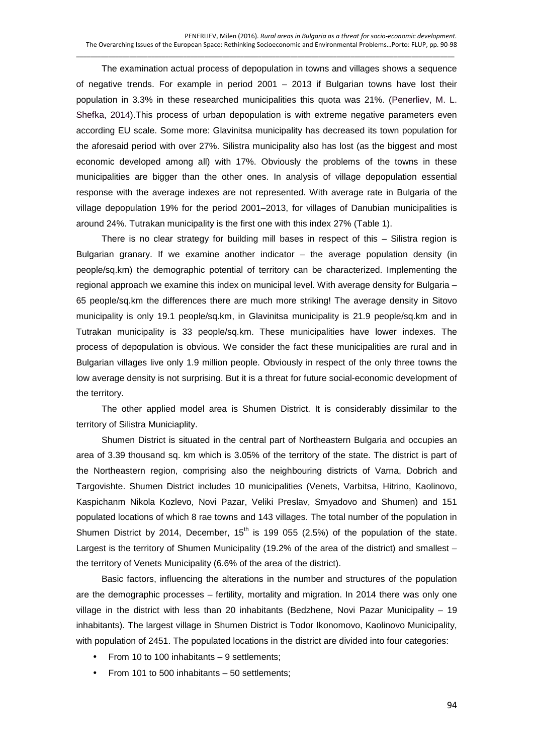The examination actual process of depopulation in towns and villages shows a sequence of negative trends. For example in period 2001 – 2013 if Bulgarian towns have lost their population in 3.3% in these researched municipalities this quota was 21%. (Penerliev, M. L. Shefka, 2014).This process of urban depopulation is with extreme negative parameters even according EU scale. Some more: Glavinitsa municipality has decreased its town population for the aforesaid period with over 27%. Silistra municipality also has lost (as the biggest and most economic developed among all) with 17%. Obviously the problems of the towns in these municipalities are bigger than the other ones. In analysis of village depopulation essential response with the average indexes are not represented. With average rate in Bulgaria of the village depopulation 19% for the period 2001–2013, for villages of Danubian municipalities is around 24%. Tutrakan municipality is the first one with this index 27% (Table 1).

There is no clear strategy for building mill bases in respect of this – Silistra region is Bulgarian granary. If we examine another indicator – the average population density (in people/sq.km) the demographic potential of territory can be characterized. Implementing the regional approach we examine this index on municipal level. With average density for Bulgaria – 65 people/sq.km the differences there are much more striking! The average density in Sitovo municipality is only 19.1 people/sq.km, in Glavinitsa municipality is 21.9 people/sq.km and in Tutrakan municipality is 33 people/sq.km. These municipalities have lower indexes. The process of depopulation is obvious. We consider the fact these municipalities are rural and in Bulgarian villages live only 1.9 million people. Obviously in respect of the only three towns the low average density is not surprising. But it is a threat for future social-economic development of the territory.

The other applied model area is Shumen District. It is considerably dissimilar to the territory of Silistra Municiaplity.

Shumen District is situated in the central part of Northeastern Bulgaria and occupies an area of 3.39 thousand sq. km which is 3.05% of the territory of the state. The district is part of the Northeastern region, comprising also the neighbouring districts of Varna, Dobrich and Targovishte. Shumen District includes 10 municipalities (Venets, Varbitsa, Hitrino, Kaolinovo, Kaspichanm Nikola Kozlevo, Novi Pazar, Veliki Preslav, Smyadovo and Shumen) and 151 populated locations of which 8 rae towns and 143 villages. The total number of the population in Shumen District by 2014, December,  $15<sup>th</sup>$  is 199 055 (2.5%) of the population of the state. Largest is the territory of Shumen Municipality (19.2% of the area of the district) and smallest the territory of Venets Municipality (6.6% of the area of the district).

Basic factors, influencing the alterations in the number and structures of the population are the demographic processes – fertility, mortality and migration. In 2014 there was only one village in the district with less than 20 inhabitants (Bedzhene, Novi Pazar Municipality – 19 inhabitants). The largest village in Shumen District is Todor Ikonomovo, Kaolinovo Municipality, with population of 2451. The populated locations in the district are divided into four categories:

- From 10 to 100 inhabitants 9 settlements;
- From 101 to 500 inhabitants 50 settlements: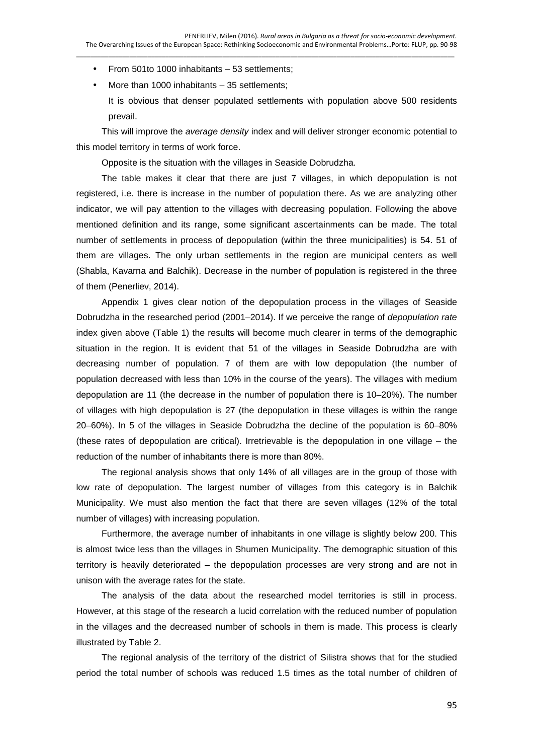- From 501to 1000 inhabitants 53 settlements;
- More than 1000 inhabitants 35 settlements;
	- It is obvious that denser populated settlements with population above 500 residents prevail.

This will improve the average density index and will deliver stronger economic potential to this model territory in terms of work force.

Opposite is the situation with the villages in Seaside Dobrudzha.

The table makes it clear that there are just 7 villages, in which depopulation is not registered, i.e. there is increase in the number of population there. As we are analyzing other indicator, we will pay attention to the villages with decreasing population. Following the above mentioned definition and its range, some significant ascertainments can be made. The total number of settlements in process of depopulation (within the three municipalities) is 54. 51 of them are villages. The only urban settlements in the region are municipal centers as well (Shabla, Kavarna and Balchik). Decrease in the number of population is registered in the three of them (Penerliev, 2014).

Appendix 1 gives clear notion of the depopulation process in the villages of Seaside Dobrudzha in the researched period (2001–2014). If we perceive the range of *depopulation rate* index given above (Table 1) the results will become much clearer in terms of the demographic situation in the region. It is evident that 51 of the villages in Seaside Dobrudzha are with decreasing number of population. 7 of them are with low depopulation (the number of population decreased with less than 10% in the course of the years). The villages with medium depopulation are 11 (the decrease in the number of population there is 10–20%). The number of villages with high depopulation is 27 (the depopulation in these villages is within the range 20–60%). In 5 of the villages in Seaside Dobrudzha the decline of the population is 60–80% (these rates of depopulation are critical). Irretrievable is the depopulation in one village – the reduction of the number of inhabitants there is more than 80%.

The regional analysis shows that only 14% of all villages are in the group of those with low rate of depopulation. The largest number of villages from this category is in Balchik Municipality. We must also mention the fact that there are seven villages (12% of the total number of villages) with increasing population.

Furthermore, the average number of inhabitants in one village is slightly below 200. This is almost twice less than the villages in Shumen Municipality. The demographic situation of this territory is heavily deteriorated – the depopulation processes are very strong and are not in unison with the average rates for the state.

The analysis of the data about the researched model territories is still in process. However, at this stage of the research a lucid correlation with the reduced number of population in the villages and the decreased number of schools in them is made. This process is clearly illustrated by Table 2.

The regional analysis of the territory of the district of Silistra shows that for the studied period the total number of schools was reduced 1.5 times as the total number of children of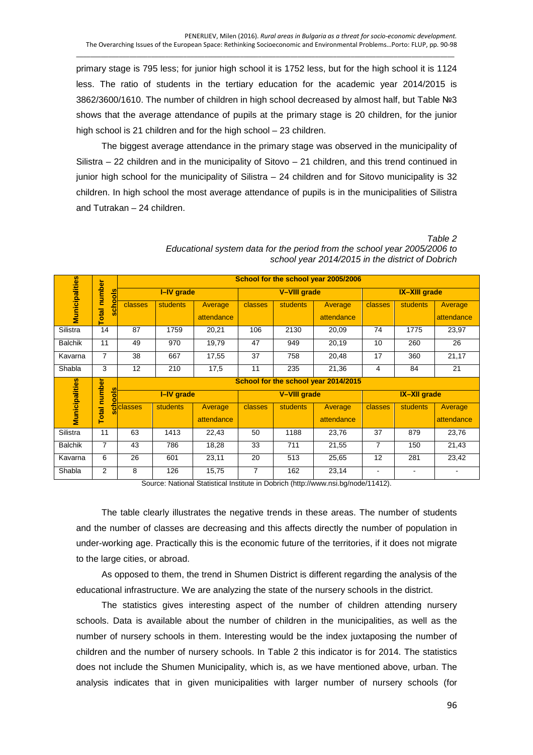primary stage is 795 less; for junior high school it is 1752 less, but for the high school it is 1124 less. The ratio of students in the tertiary education for the academic year 2014/2015 is 3862/3600/1610. The number of children in high school decreased by almost half, but Table №3 shows that the average attendance of pupils at the primary stage is 20 children, for the junior high school is 21 children and for the high school – 23 children.

The biggest average attendance in the primary stage was observed in the municipality of Silistra – 22 children and in the municipality of Sitovo – 21 children, and this trend continued in junior high school for the municipality of Silistra – 24 children and for Sitovo municipality is 32 children. In high school the most average attendance of pupils is in the municipalities of Silistra and Tutrakan – 24 children.

|                       |                          | School for the school year 2005/2006 |                 |                       |              |                 |                       |                      |                     |                       |
|-----------------------|--------------------------|--------------------------------------|-----------------|-----------------------|--------------|-----------------|-----------------------|----------------------|---------------------|-----------------------|
| ols                   |                          | I-IV grade                           |                 |                       | V-VIII grade |                 |                       | <b>IX-XIII grade</b> |                     |                       |
| <b>Municipalities</b> | <b>Total number</b><br>ě | classes                              | <b>students</b> | Average<br>attendance | classes      | <b>students</b> | Average<br>attendance | classes              | <b>students</b>     | Average<br>attendance |
| Silistra              | 14                       | 87                                   | 1759            | 20,21                 | 106          | 2130            | 20,09                 | 74                   | 1775                | 23,97                 |
| <b>Balchik</b>        | 11                       | 49                                   | 970             | 19,79                 | 47           | 949             | 20,19                 | 10                   | 260                 | 26                    |
| Kavarna               | 7                        | 38                                   | 667             | 17,55                 | 37           | 758             | 20,48                 | 17                   | 360                 | 21,17                 |
| Shabla                | 3                        | 12                                   | 210             | 17,5                  | 11           | 235             | 21,36                 | 4                    | 84                  | 21                    |
|                       |                          | School for the school year 2014/2015 |                 |                       |              |                 |                       |                      |                     |                       |
|                       |                          |                                      |                 |                       |              |                 |                       |                      |                     |                       |
|                       | <b>aio</b><br>٥          |                                      | I-IV grade      |                       |              | V-VIII grade    |                       |                      | <b>IX-XII grade</b> |                       |
| <b>Municipalities</b> | <b>Total number</b><br>등 | classes                              | <b>students</b> | Average<br>attendance | classes      | <b>students</b> | Average<br>attendance | classes              | <b>students</b>     | Average<br>attendance |
| Silistra              | 11                       | 63                                   | 1413            | 22,43                 | 50           | 1188            | 23,76                 | 37                   | 879                 | 23,76                 |
| <b>Balchik</b>        | 7                        | 43                                   | 786             | 18,28                 | 33           | 711             | 21,55                 | 7                    | 150                 | 21,43                 |
| Kavarna               | 6                        | 26                                   | 601             | 23,11                 | 20           | 513             | 25,65                 | 12                   | 281                 | 23,42                 |

Table 2 Educational system data for the period from the school year 2005/2006 to school year 2014/2015 in the district of Dobrich

Source: National Statistical Institute in Dobrich (http://www.nsi.bg/node/11412).

The table clearly illustrates the negative trends in these areas. The number of students and the number of classes are decreasing and this affects directly the number of population in under-working age. Practically this is the economic future of the territories, if it does not migrate to the large cities, or abroad.

As opposed to them, the trend in Shumen District is different regarding the analysis of the educational infrastructure. We are analyzing the state of the nursery schools in the district.

The statistics gives interesting aspect of the number of children attending nursery schools. Data is available about the number of children in the municipalities, as well as the number of nursery schools in them. Interesting would be the index juxtaposing the number of children and the number of nursery schools. In Table 2 this indicator is for 2014. The statistics does not include the Shumen Municipality, which is, as we have mentioned above, urban. The analysis indicates that in given municipalities with larger number of nursery schools (for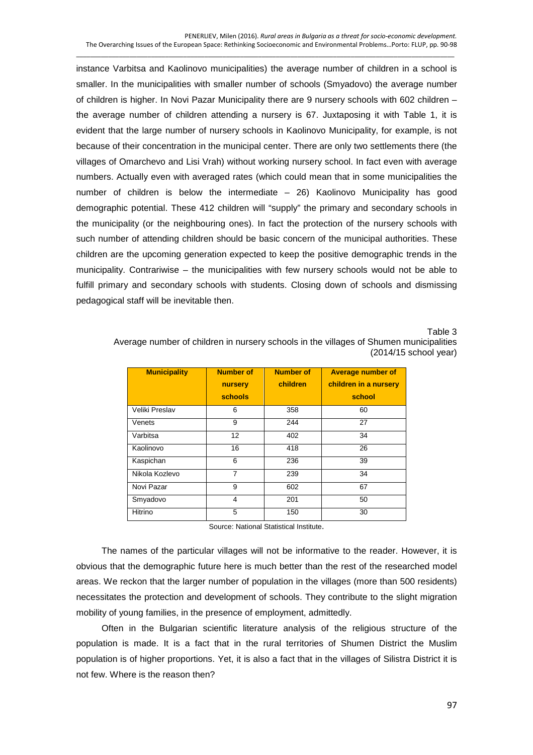\_\_\_\_\_\_\_\_\_\_\_\_\_\_\_\_\_\_\_\_\_\_\_\_\_\_\_\_\_\_\_\_\_\_\_\_\_\_\_\_\_\_\_\_\_\_\_\_\_\_\_\_\_\_\_\_\_\_\_\_\_\_\_\_\_\_\_\_\_\_\_\_\_\_\_\_\_\_\_\_\_\_\_\_\_\_\_\_\_\_\_\_\_\_\_\_\_\_\_\_\_\_\_\_\_\_

instance Varbitsa and Kaolinovo municipalities) the average number of children in a school is smaller. In the municipalities with smaller number of schools (Smyadovo) the average number of children is higher. In Novi Pazar Municipality there are 9 nursery schools with 602 children – the average number of children attending a nursery is 67. Juxtaposing it with Table 1, it is evident that the large number of nursery schools in Kaolinovo Municipality, for example, is not because of their concentration in the municipal center. There are only two settlements there (the villages of Omarchevo and Lisi Vrah) without working nursery school. In fact even with average numbers. Actually even with averaged rates (which could mean that in some municipalities the number of children is below the intermediate – 26) Kaolinovo Municipality has good demographic potential. These 412 children will "supply" the primary and secondary schools in the municipality (or the neighbouring ones). In fact the protection of the nursery schools with such number of attending children should be basic concern of the municipal authorities. These children are the upcoming generation expected to keep the positive demographic trends in the municipality. Contrariwise – the municipalities with few nursery schools would not be able to fulfill primary and secondary schools with students. Closing down of schools and dismissing pedagogical staff will be inevitable then.

#### Table 3

Average number of children in nursery schools in the villages of Shumen municipalities (2014/15 school year)

| <b>Municipality</b> | <b>Number of</b><br>nursery<br>schools | <b>Number of</b><br>children | <b>Average number of</b><br>children in a nursery<br>school |
|---------------------|----------------------------------------|------------------------------|-------------------------------------------------------------|
| Veliki Preslav      | 6                                      | 358                          | 60                                                          |
| Venets              | 9                                      | 244                          | 27                                                          |
| Varbitsa            | 12                                     | 402                          | 34                                                          |
| Kaolinovo           | 16                                     | 418                          | 26                                                          |
| Kaspichan           | 6                                      | 236                          | 39                                                          |
| Nikola Kozlevo      | 7                                      | 239                          | 34                                                          |
| Novi Pazar          | 9                                      | 602                          | 67                                                          |
| Smyadovo            | 4                                      | 201                          | 50                                                          |
| Hitrino             | 5                                      | 150                          | 30                                                          |

Source: National Statistical Institute.

The names of the particular villages will not be informative to the reader. However, it is obvious that the demographic future here is much better than the rest of the researched model areas. We reckon that the larger number of population in the villages (more than 500 residents) necessitates the protection and development of schools. They contribute to the slight migration mobility of young families, in the presence of employment, admittedly.

Often in the Bulgarian scientific literature analysis of the religious structure of the population is made. It is a fact that in the rural territories of Shumen District the Muslim population is of higher proportions. Yet, it is also a fact that in the villages of Silistra District it is not few. Where is the reason then?